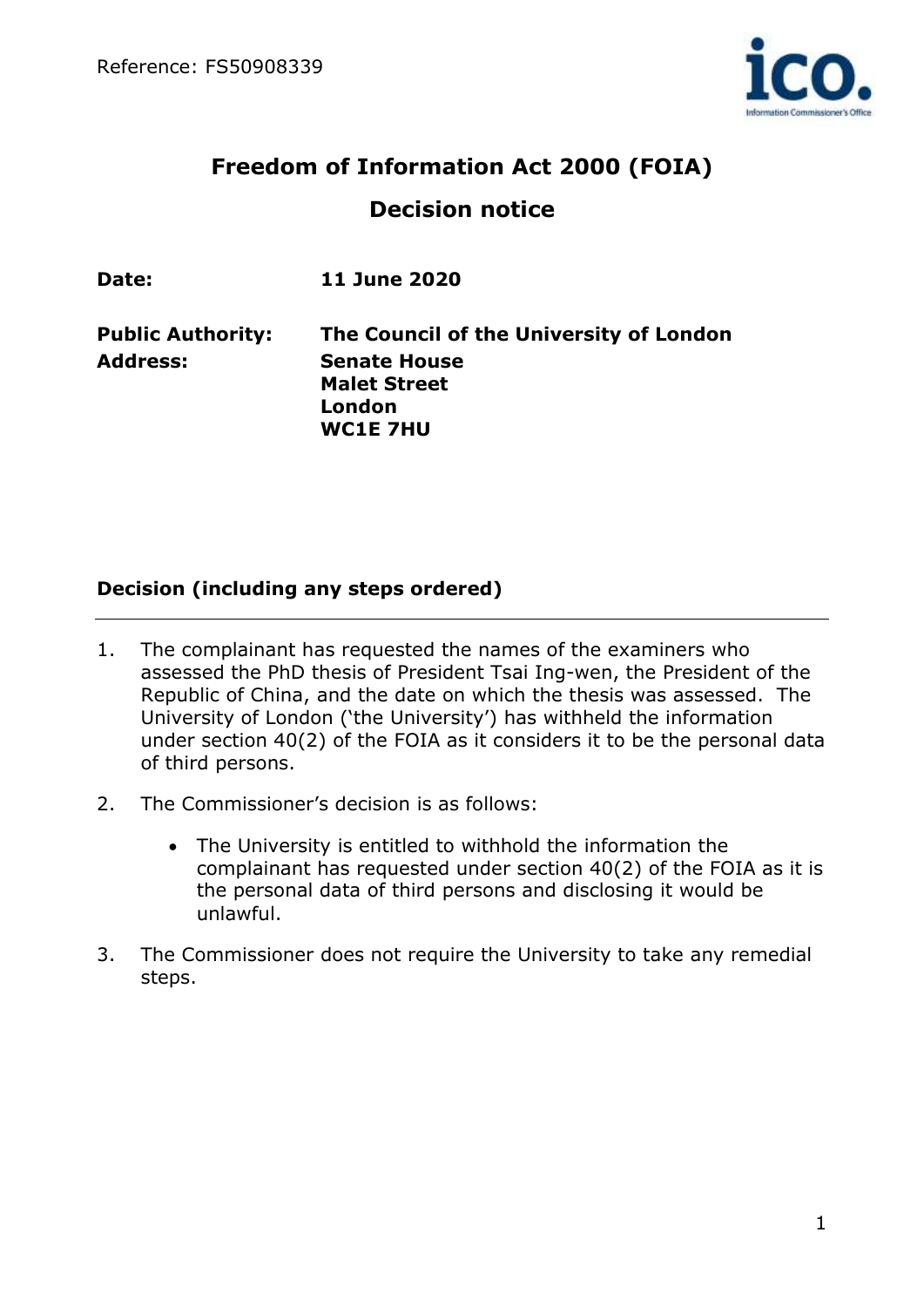

# **Freedom of Information Act 2000 (FOIA) Decision notice**

| Date:                    | <b>11 June 2020</b>                                                     |
|--------------------------|-------------------------------------------------------------------------|
| <b>Public Authority:</b> | The Council of the University of London                                 |
| <b>Address:</b>          | <b>Senate House</b><br><b>Malet Street</b><br>London<br><b>WC1E 7HU</b> |

## **Decision (including any steps ordered)**

- 1. The complainant has requested the names of the examiners who assessed the PhD thesis of President Tsai Ing-wen, the President of the Republic of China, and the date on which the thesis was assessed. The University of London ('the University') has withheld the information under section 40(2) of the FOIA as it considers it to be the personal data of third persons.
- 2. The Commissioner's decision is as follows:
	- The University is entitled to withhold the information the complainant has requested under section 40(2) of the FOIA as it is the personal data of third persons and disclosing it would be unlawful.
- 3. The Commissioner does not require the University to take any remedial steps.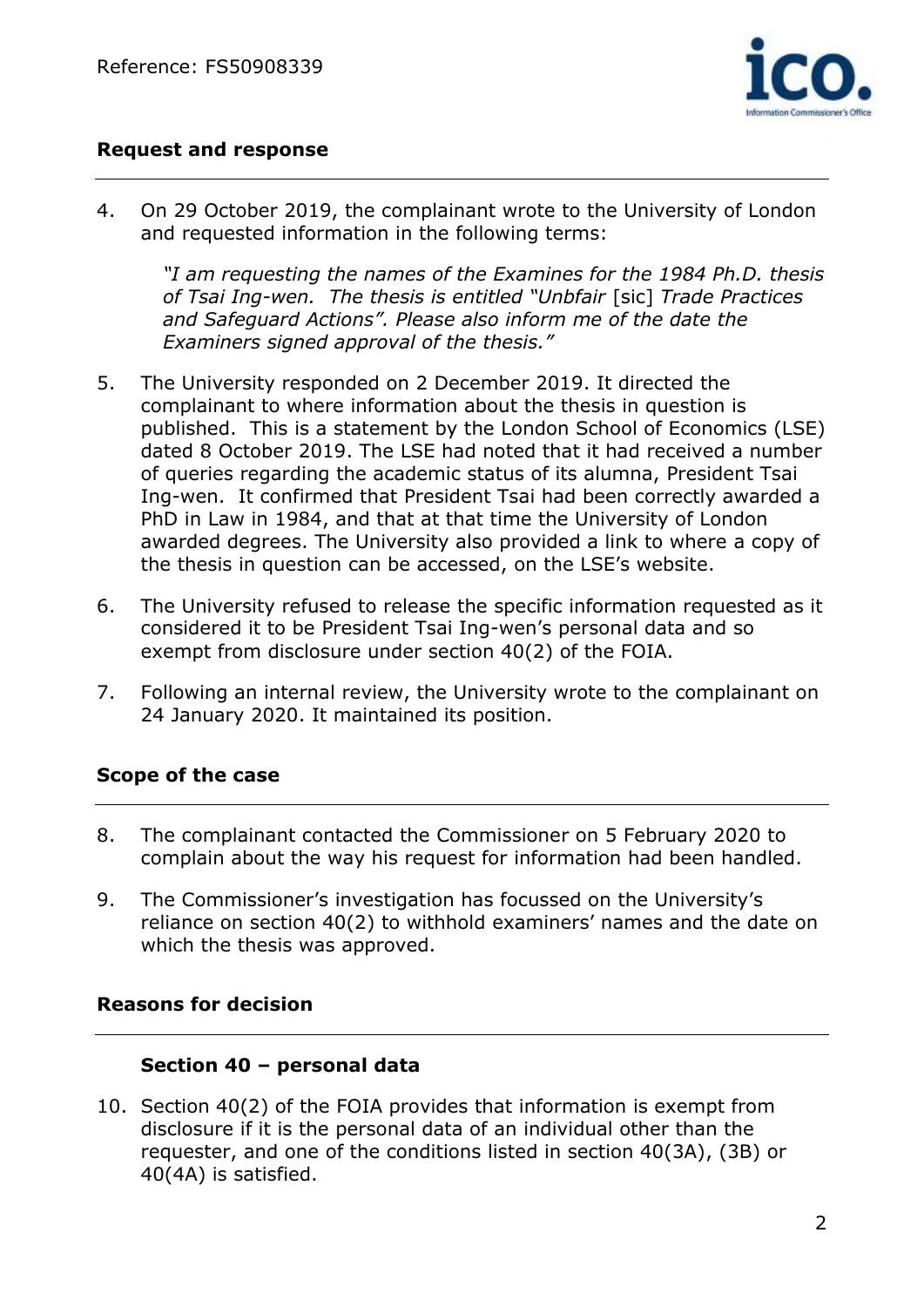

## **Request and response**

4. On 29 October 2019, the complainant wrote to the University of London and requested information in the following terms:

*"I am requesting the names of the Examines for the 1984 Ph.D. thesis of Tsai Ing-wen. The thesis is entitled "Unbfair* [sic] *Trade Practices and Safeguard Actions". Please also inform me of the date the Examiners signed approval of the thesis."*

- 5. The University responded on 2 December 2019. It directed the complainant to where information about the thesis in question is published. This is a statement by the London School of Economics (LSE) dated 8 October 2019. The LSE had noted that it had received a number of queries regarding the academic status of its alumna, President Tsai Ing-wen. It confirmed that President Tsai had been correctly awarded a PhD in Law in 1984, and that at that time the University of London awarded degrees. The University also provided a link to where a copy of the thesis in question can be accessed, on the LSE's website.
- 6. The University refused to release the specific information requested as it considered it to be President Tsai Ing-wen's personal data and so exempt from disclosure under section 40(2) of the FOIA.
- 7. Following an internal review, the University wrote to the complainant on 24 January 2020. It maintained its position.

# **Scope of the case**

- 8. The complainant contacted the Commissioner on 5 February 2020 to complain about the way his request for information had been handled.
- 9. The Commissioner's investigation has focussed on the University's reliance on section 40(2) to withhold examiners' names and the date on which the thesis was approved.

# **Reasons for decision**

## **Section 40 – personal data**

10. Section 40(2) of the FOIA provides that information is exempt from disclosure if it is the personal data of an individual other than the requester, and one of the conditions listed in section 40(3A), (3B) or 40(4A) is satisfied.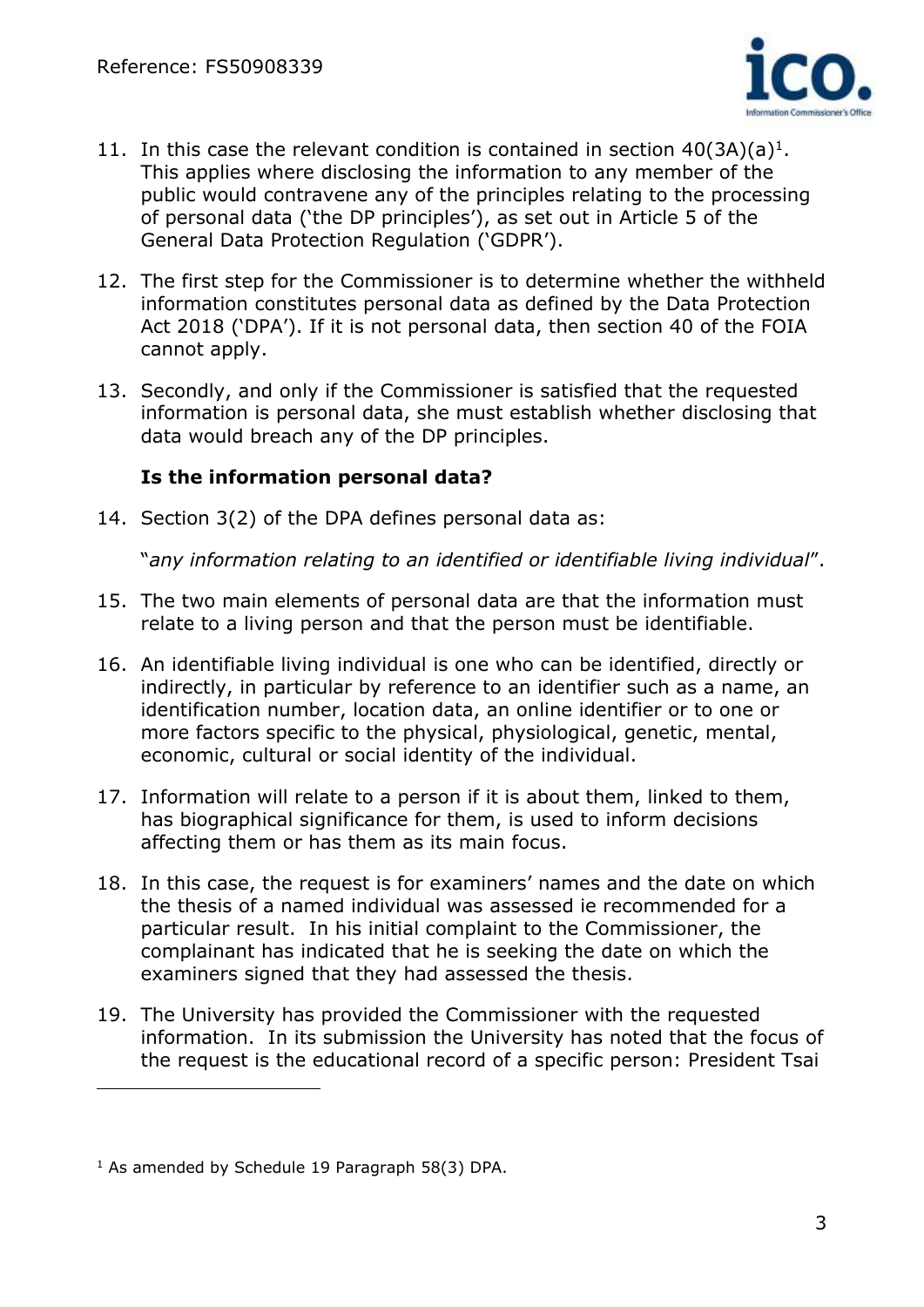

- 11. In this case the relevant condition is contained in section  $40(3A)(a)^{1}$ . This applies where disclosing the information to any member of the public would contravene any of the principles relating to the processing of personal data ('the DP principles'), as set out in Article 5 of the General Data Protection Regulation ('GDPR').
- 12. The first step for the Commissioner is to determine whether the withheld information constitutes personal data as defined by the Data Protection Act 2018 ('DPA'). If it is not personal data, then section 40 of the FOIA cannot apply.
- 13. Secondly, and only if the Commissioner is satisfied that the requested information is personal data, she must establish whether disclosing that data would breach any of the DP principles.

# **Is the information personal data?**

14. Section 3(2) of the DPA defines personal data as:

"*any information relating to an identified or identifiable living individual*".

- 15. The two main elements of personal data are that the information must relate to a living person and that the person must be identifiable.
- 16. An identifiable living individual is one who can be identified, directly or indirectly, in particular by reference to an identifier such as a name, an identification number, location data, an online identifier or to one or more factors specific to the physical, physiological, genetic, mental, economic, cultural or social identity of the individual.
- 17. Information will relate to a person if it is about them, linked to them, has biographical significance for them, is used to inform decisions affecting them or has them as its main focus.
- 18. In this case, the request is for examiners' names and the date on which the thesis of a named individual was assessed ie recommended for a particular result. In his initial complaint to the Commissioner, the complainant has indicated that he is seeking the date on which the examiners signed that they had assessed the thesis.
- 19. The University has provided the Commissioner with the requested information. In its submission the University has noted that the focus of the request is the educational record of a specific person: President Tsai

 $1$  As amended by Schedule 19 Paragraph 58(3) DPA.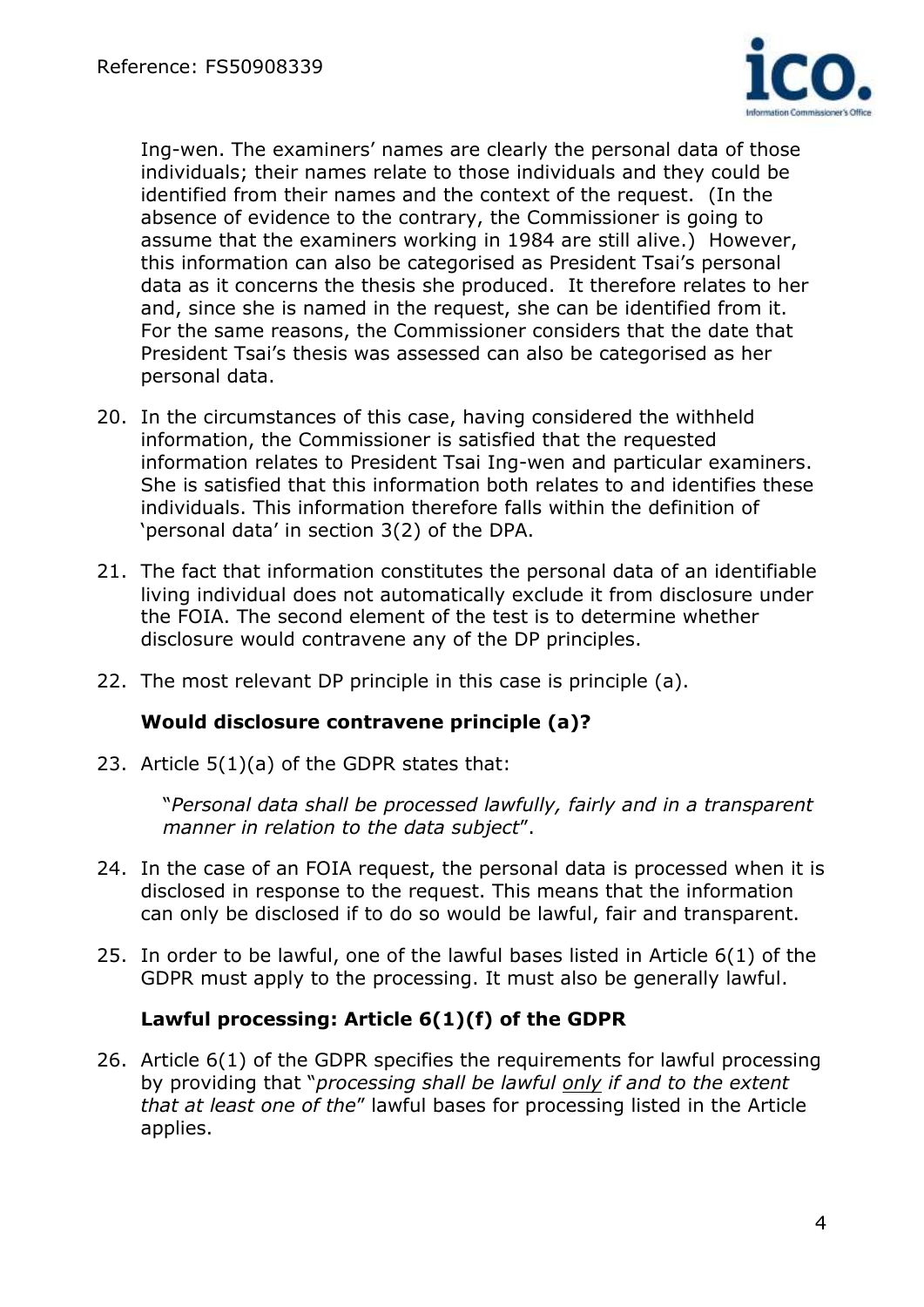

Ing-wen. The examiners' names are clearly the personal data of those individuals; their names relate to those individuals and they could be identified from their names and the context of the request. (In the absence of evidence to the contrary, the Commissioner is going to assume that the examiners working in 1984 are still alive.) However, this information can also be categorised as President Tsai's personal data as it concerns the thesis she produced. It therefore relates to her and, since she is named in the request, she can be identified from it. For the same reasons, the Commissioner considers that the date that President Tsai's thesis was assessed can also be categorised as her personal data.

- 20. In the circumstances of this case, having considered the withheld information, the Commissioner is satisfied that the requested information relates to President Tsai Ing-wen and particular examiners. She is satisfied that this information both relates to and identifies these individuals. This information therefore falls within the definition of 'personal data' in section 3(2) of the DPA.
- 21. The fact that information constitutes the personal data of an identifiable living individual does not automatically exclude it from disclosure under the FOIA. The second element of the test is to determine whether disclosure would contravene any of the DP principles.
- 22. The most relevant DP principle in this case is principle (a).

## **Would disclosure contravene principle (a)?**

23. Article 5(1)(a) of the GDPR states that:

"*Personal data shall be processed lawfully, fairly and in a transparent manner in relation to the data subject*".

- 24. In the case of an FOIA request, the personal data is processed when it is disclosed in response to the request. This means that the information can only be disclosed if to do so would be lawful, fair and transparent.
- 25. In order to be lawful, one of the lawful bases listed in Article 6(1) of the GDPR must apply to the processing. It must also be generally lawful.

## **Lawful processing: Article 6(1)(f) of the GDPR**

26. Article 6(1) of the GDPR specifies the requirements for lawful processing by providing that "*processing shall be lawful only if and to the extent that at least one of the*" lawful bases for processing listed in the Article applies.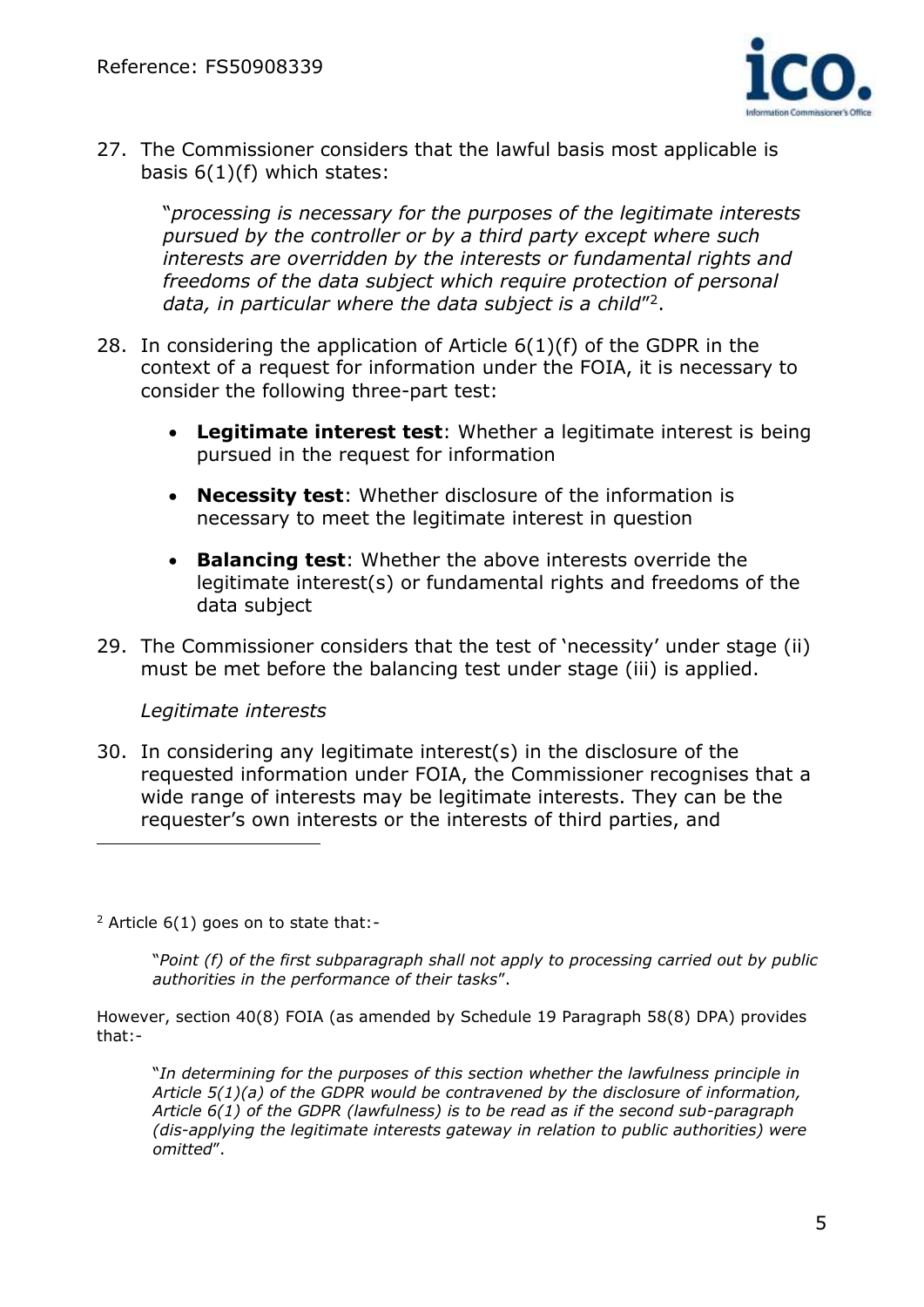

27. The Commissioner considers that the lawful basis most applicable is basis 6(1)(f) which states:

"*processing is necessary for the purposes of the legitimate interests pursued by the controller or by a third party except where such interests are overridden by the interests or fundamental rights and freedoms of the data subject which require protection of personal*  data, in particular where the data subject is a child"<sup>2</sup>.

- 28. In considering the application of Article 6(1)(f) of the GDPR in the context of a request for information under the FOIA, it is necessary to consider the following three-part test:
	- **Legitimate interest test**: Whether a legitimate interest is being pursued in the request for information
	- **Necessity test**: Whether disclosure of the information is necessary to meet the legitimate interest in question
	- **Balancing test**: Whether the above interests override the legitimate interest(s) or fundamental rights and freedoms of the data subject
- 29. The Commissioner considers that the test of 'necessity' under stage (ii) must be met before the balancing test under stage (iii) is applied.

## *Legitimate interests*

30. In considering any legitimate interest(s) in the disclosure of the requested information under FOIA, the Commissioner recognises that a wide range of interests may be legitimate interests. They can be the requester's own interests or the interests of third parties, and

 $2$  Article 6(1) goes on to state that:-

"*Point (f) of the first subparagraph shall not apply to processing carried out by public authorities in the performance of their tasks*".

However, section 40(8) FOIA (as amended by Schedule 19 Paragraph 58(8) DPA) provides that:-

"*In determining for the purposes of this section whether the lawfulness principle in Article 5(1)(a) of the GDPR would be contravened by the disclosure of information, Article 6(1) of the GDPR (lawfulness) is to be read as if the second sub-paragraph (dis-applying the legitimate interests gateway in relation to public authorities) were omitted*".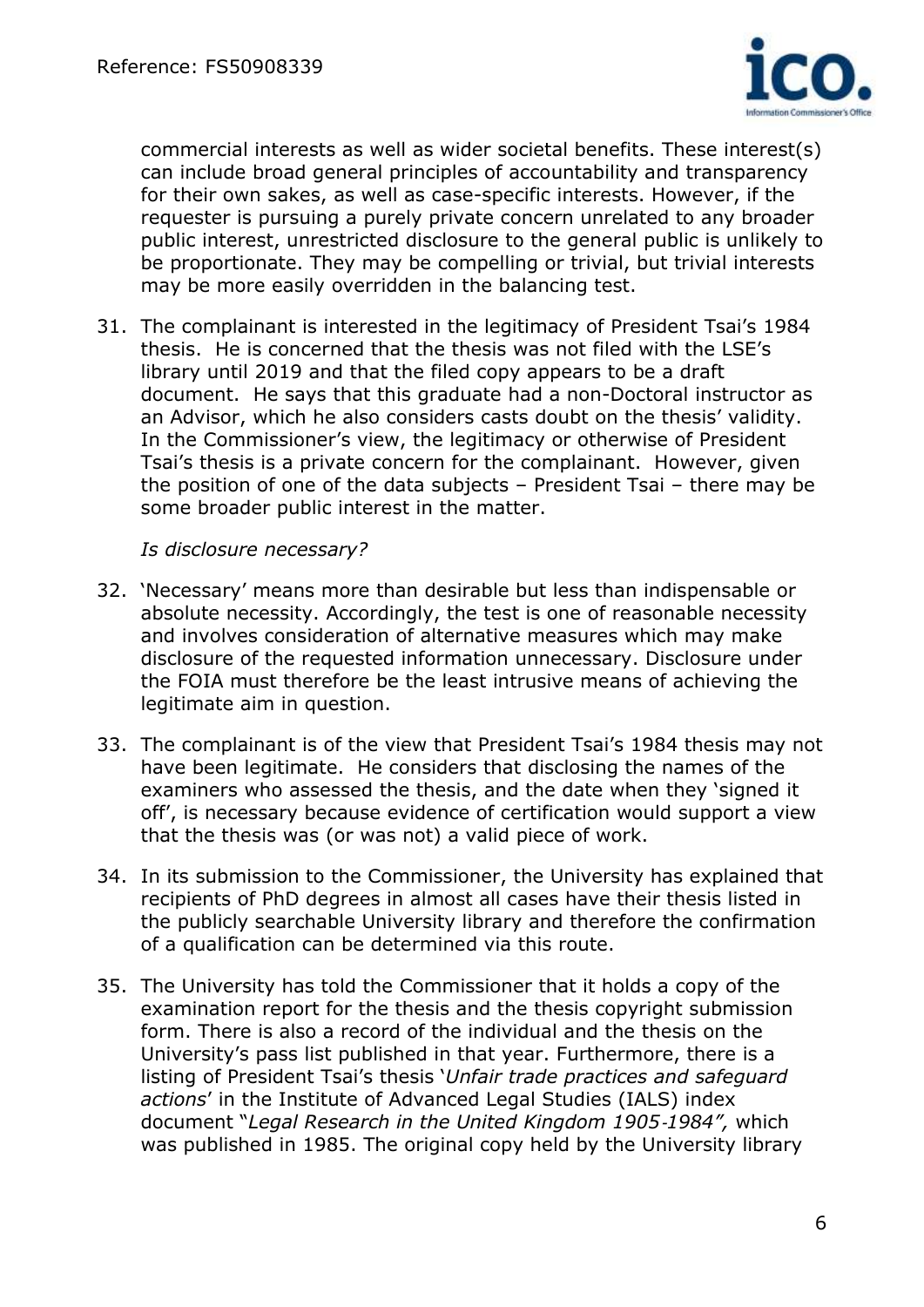

commercial interests as well as wider societal benefits. These interest(s) can include broad general principles of accountability and transparency for their own sakes, as well as case-specific interests. However, if the requester is pursuing a purely private concern unrelated to any broader public interest, unrestricted disclosure to the general public is unlikely to be proportionate. They may be compelling or trivial, but trivial interests may be more easily overridden in the balancing test.

31. The complainant is interested in the legitimacy of President Tsai's 1984 thesis. He is concerned that the thesis was not filed with the LSE's library until 2019 and that the filed copy appears to be a draft document. He says that this graduate had a non-Doctoral instructor as an Advisor, which he also considers casts doubt on the thesis' validity. In the Commissioner's view, the legitimacy or otherwise of President Tsai's thesis is a private concern for the complainant. However, given the position of one of the data subjects – President Tsai – there may be some broader public interest in the matter.

*Is disclosure necessary?*

- 32. 'Necessary' means more than desirable but less than indispensable or absolute necessity. Accordingly, the test is one of reasonable necessity and involves consideration of alternative measures which may make disclosure of the requested information unnecessary. Disclosure under the FOIA must therefore be the least intrusive means of achieving the legitimate aim in question.
- 33. The complainant is of the view that President Tsai's 1984 thesis may not have been legitimate. He considers that disclosing the names of the examiners who assessed the thesis, and the date when they 'signed it off', is necessary because evidence of certification would support a view that the thesis was (or was not) a valid piece of work.
- 34. In its submission to the Commissioner, the University has explained that recipients of PhD degrees in almost all cases have their thesis listed in the publicly searchable University library and therefore the confirmation of a qualification can be determined via this route.
- 35. The University has told the Commissioner that it holds a copy of the examination report for the thesis and the thesis copyright submission form. There is also a record of the individual and the thesis on the University's pass list published in that year. Furthermore, there is a listing of President Tsai's thesis '*Unfair trade practices and safeguard actions*' in the Institute of Advanced Legal Studies (IALS) index document "*Legal Research in the United Kingdom 1905*‐*1984",* which was published in 1985. The original copy held by the University library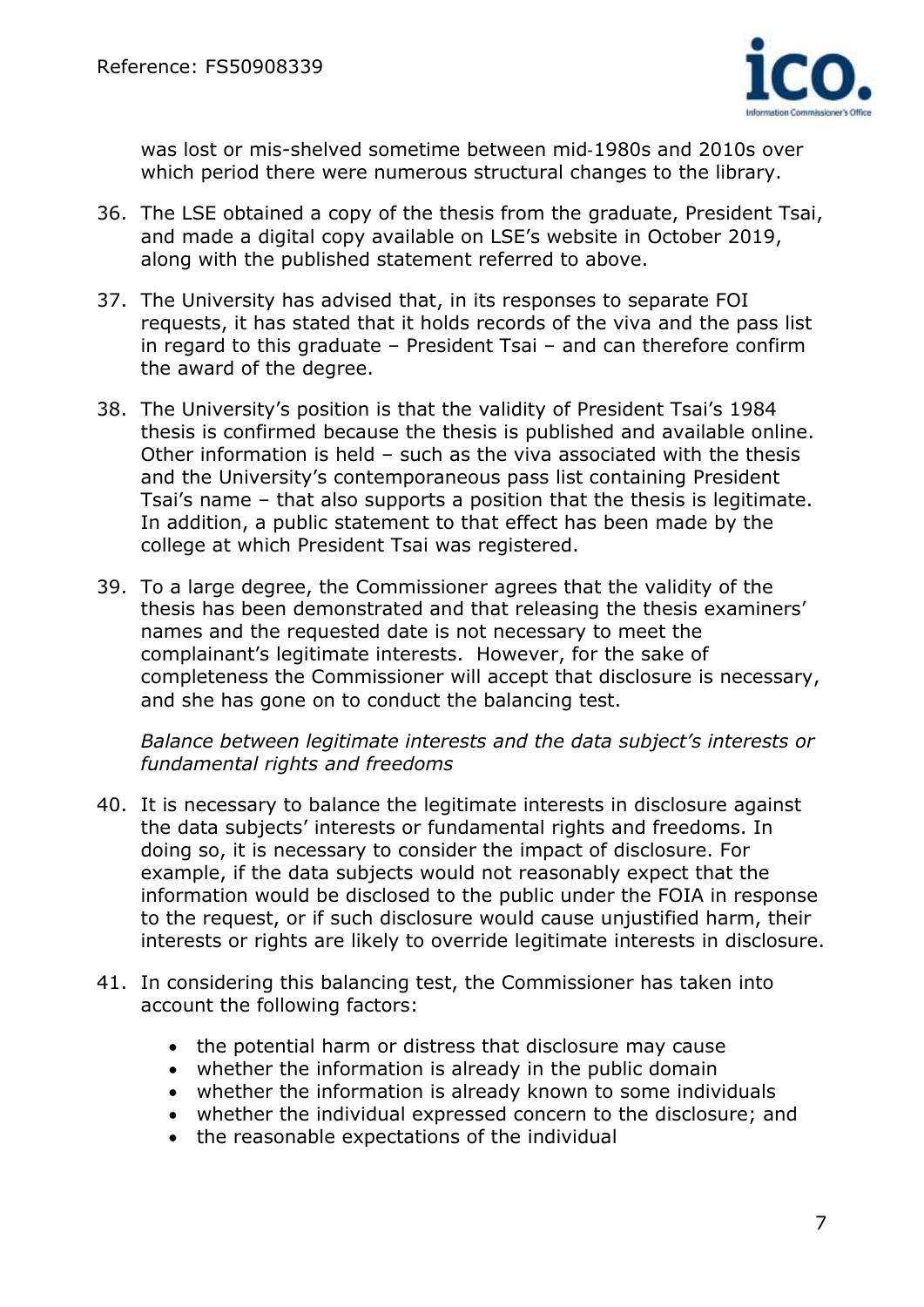

was lost or mis-shelved sometime between mid‐1980s and 2010s over which period there were numerous structural changes to the library.

- 36. The LSE obtained a copy of the thesis from the graduate, President Tsai, and made a digital copy available on LSE's website in October 2019, along with the published statement referred to above.
- 37. The University has advised that, in its responses to separate FOI requests, it has stated that it holds records of the viva and the pass list in regard to this graduate – President Tsai – and can therefore confirm the award of the degree.
- 38. The University's position is that the validity of President Tsai's 1984 thesis is confirmed because the thesis is published and available online. Other information is held – such as the viva associated with the thesis and the University's contemporaneous pass list containing President Tsai's name – that also supports a position that the thesis is legitimate. In addition, a public statement to that effect has been made by the college at which President Tsai was registered.
- 39. To a large degree, the Commissioner agrees that the validity of the thesis has been demonstrated and that releasing the thesis examiners' names and the requested date is not necessary to meet the complainant's legitimate interests. However, for the sake of completeness the Commissioner will accept that disclosure is necessary, and she has gone on to conduct the balancing test.

*Balance between legitimate interests and the data subject's interests or fundamental rights and freedoms*

- 40. It is necessary to balance the legitimate interests in disclosure against the data subjects' interests or fundamental rights and freedoms. In doing so, it is necessary to consider the impact of disclosure. For example, if the data subjects would not reasonably expect that the information would be disclosed to the public under the FOIA in response to the request, or if such disclosure would cause unjustified harm, their interests or rights are likely to override legitimate interests in disclosure.
- 41. In considering this balancing test, the Commissioner has taken into account the following factors:
	- the potential harm or distress that disclosure may cause
	- whether the information is already in the public domain
	- whether the information is already known to some individuals
	- whether the individual expressed concern to the disclosure; and
	- the reasonable expectations of the individual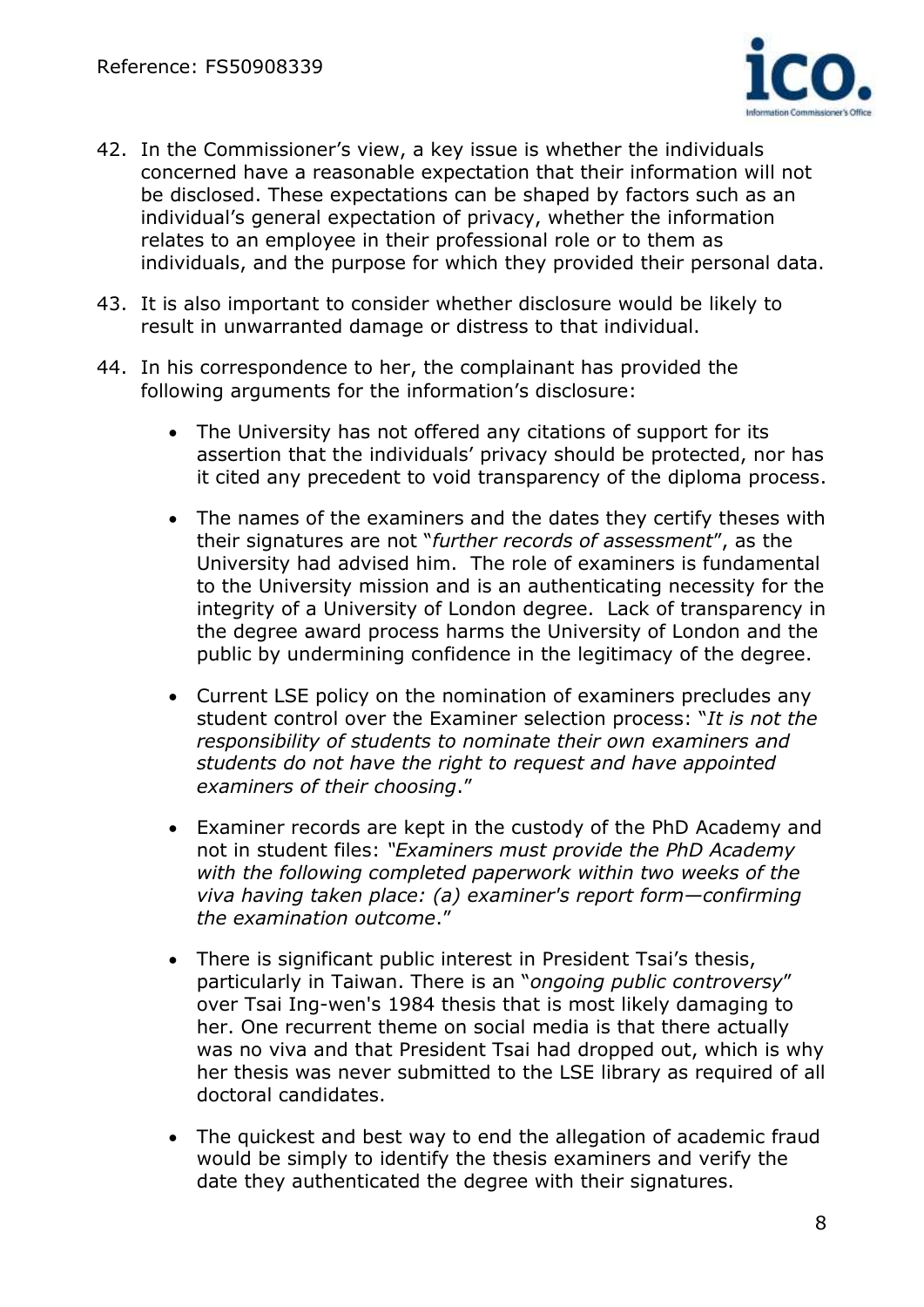

- 42. In the Commissioner's view, a key issue is whether the individuals concerned have a reasonable expectation that their information will not be disclosed. These expectations can be shaped by factors such as an individual's general expectation of privacy, whether the information relates to an employee in their professional role or to them as individuals, and the purpose for which they provided their personal data.
- 43. It is also important to consider whether disclosure would be likely to result in unwarranted damage or distress to that individual.
- 44. In his correspondence to her, the complainant has provided the following arguments for the information's disclosure:
	- The University has not offered any citations of support for its assertion that the individuals' privacy should be protected, nor has it cited any precedent to void transparency of the diploma process.
	- The names of the examiners and the dates they certify theses with their signatures are not "*further records of assessment*", as the University had advised him. The role of examiners is fundamental to the University mission and is an authenticating necessity for the integrity of a University of London degree. Lack of transparency in the degree award process harms the University of London and the public by undermining confidence in the legitimacy of the degree.
	- Current LSE policy on the nomination of examiners precludes any student control over the Examiner selection process: "*It is not the responsibility of students to nominate their own examiners and students do not have the right to request and have appointed examiners of their choosing*."
	- Examiner records are kept in the custody of the PhD Academy and not in student files: *"Examiners must provide the PhD Academy with the following completed paperwork within two weeks of the viva having taken place: (a) examiner's report form—confirming the examination outcome*."
	- There is significant public interest in President Tsai's thesis, particularly in Taiwan. There is an "*ongoing public controversy*" over Tsai Ing-wen's 1984 thesis that is most likely damaging to her. One recurrent theme on social media is that there actually was no viva and that President Tsai had dropped out, which is why her thesis was never submitted to the LSE library as required of all doctoral candidates.
	- The quickest and best way to end the allegation of academic fraud would be simply to identify the thesis examiners and verify the date they authenticated the degree with their signatures.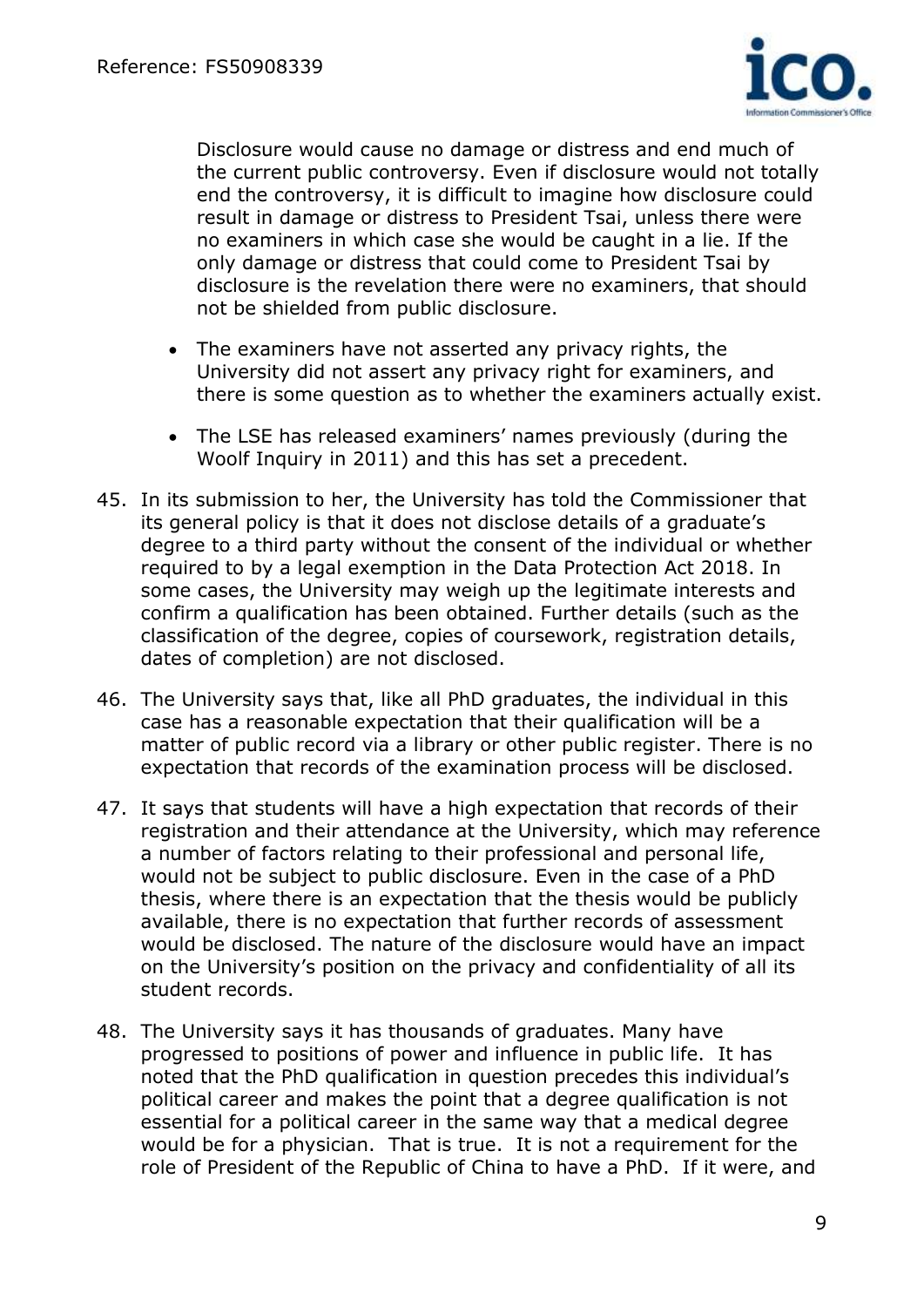

Disclosure would cause no damage or distress and end much of the current public controversy. Even if disclosure would not totally end the controversy, it is difficult to imagine how disclosure could result in damage or distress to President Tsai, unless there were no examiners in which case she would be caught in a lie. If the only damage or distress that could come to President Tsai by disclosure is the revelation there were no examiners, that should not be shielded from public disclosure.

- The examiners have not asserted any privacy rights, the University did not assert any privacy right for examiners, and there is some question as to whether the examiners actually exist.
- The LSE has released examiners' names previously (during the Woolf Inquiry in 2011) and this has set a precedent.
- 45. In its submission to her, the University has told the Commissioner that its general policy is that it does not disclose details of a graduate's degree to a third party without the consent of the individual or whether required to by a legal exemption in the Data Protection Act 2018. In some cases, the University may weigh up the legitimate interests and confirm a qualification has been obtained. Further details (such as the classification of the degree, copies of coursework, registration details, dates of completion) are not disclosed.
- 46. The University says that, like all PhD graduates, the individual in this case has a reasonable expectation that their qualification will be a matter of public record via a library or other public register. There is no expectation that records of the examination process will be disclosed.
- 47. It says that students will have a high expectation that records of their registration and their attendance at the University, which may reference a number of factors relating to their professional and personal life, would not be subject to public disclosure. Even in the case of a PhD thesis, where there is an expectation that the thesis would be publicly available, there is no expectation that further records of assessment would be disclosed. The nature of the disclosure would have an impact on the University's position on the privacy and confidentiality of all its student records.
- 48. The University says it has thousands of graduates. Many have progressed to positions of power and influence in public life. It has noted that the PhD qualification in question precedes this individual's political career and makes the point that a degree qualification is not essential for a political career in the same way that a medical degree would be for a physician. That is true. It is not a requirement for the role of President of the Republic of China to have a PhD. If it were, and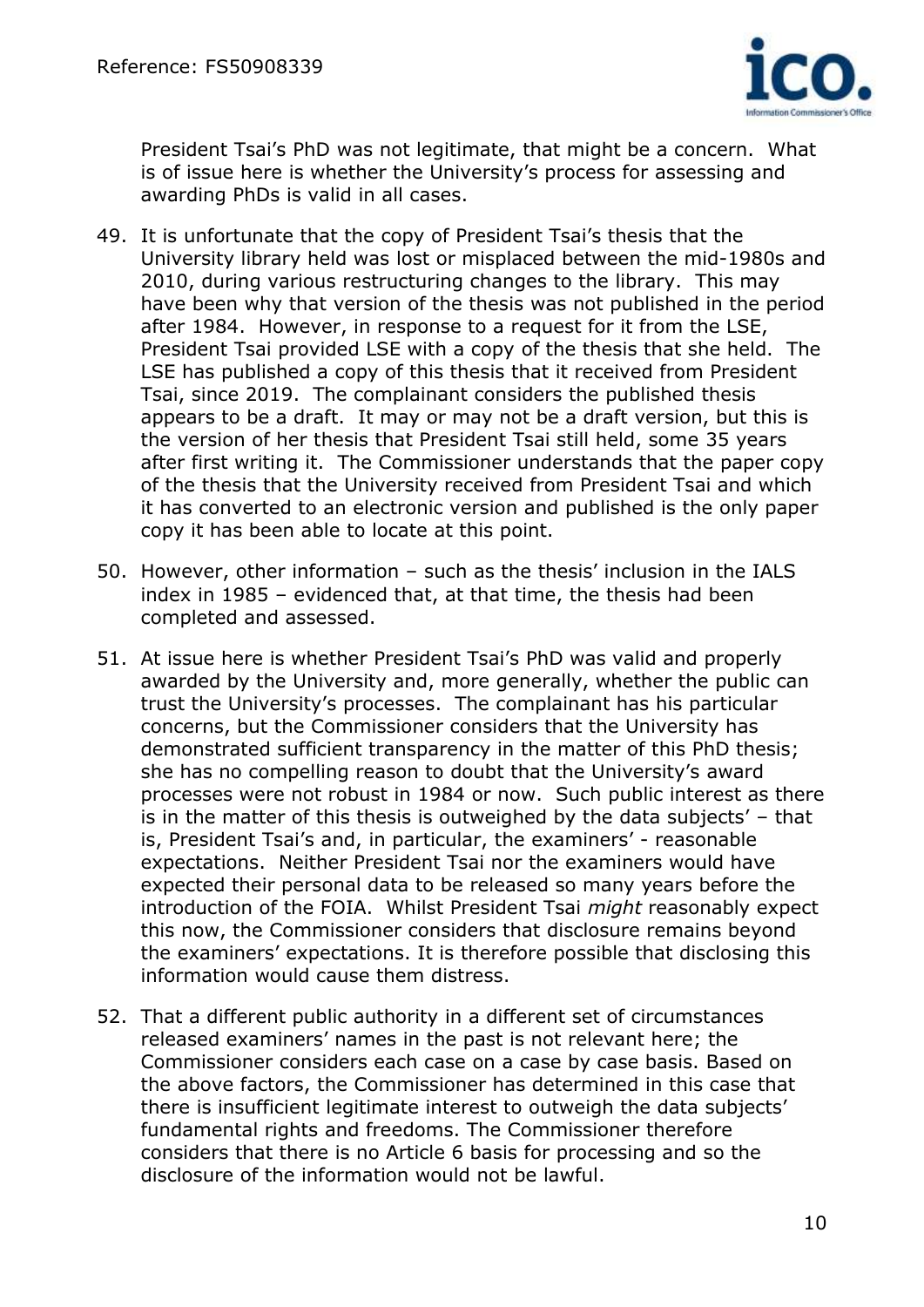

President Tsai's PhD was not legitimate, that might be a concern. What is of issue here is whether the University's process for assessing and awarding PhDs is valid in all cases.

- 49. It is unfortunate that the copy of President Tsai's thesis that the University library held was lost or misplaced between the mid-1980s and 2010, during various restructuring changes to the library. This may have been why that version of the thesis was not published in the period after 1984. However, in response to a request for it from the LSE, President Tsai provided LSE with a copy of the thesis that she held. The LSE has published a copy of this thesis that it received from President Tsai, since 2019. The complainant considers the published thesis appears to be a draft. It may or may not be a draft version, but this is the version of her thesis that President Tsai still held, some 35 years after first writing it. The Commissioner understands that the paper copy of the thesis that the University received from President Tsai and which it has converted to an electronic version and published is the only paper copy it has been able to locate at this point.
- 50. However, other information such as the thesis' inclusion in the IALS index in 1985 – evidenced that, at that time, the thesis had been completed and assessed.
- 51. At issue here is whether President Tsai's PhD was valid and properly awarded by the University and, more generally, whether the public can trust the University's processes. The complainant has his particular concerns, but the Commissioner considers that the University has demonstrated sufficient transparency in the matter of this PhD thesis; she has no compelling reason to doubt that the University's award processes were not robust in 1984 or now. Such public interest as there is in the matter of this thesis is outweighed by the data subjects' – that is, President Tsai's and, in particular, the examiners' - reasonable expectations. Neither President Tsai nor the examiners would have expected their personal data to be released so many years before the introduction of the FOIA. Whilst President Tsai *might* reasonably expect this now, the Commissioner considers that disclosure remains beyond the examiners' expectations. It is therefore possible that disclosing this information would cause them distress.
- 52. That a different public authority in a different set of circumstances released examiners' names in the past is not relevant here; the Commissioner considers each case on a case by case basis. Based on the above factors, the Commissioner has determined in this case that there is insufficient legitimate interest to outweigh the data subjects' fundamental rights and freedoms. The Commissioner therefore considers that there is no Article 6 basis for processing and so the disclosure of the information would not be lawful.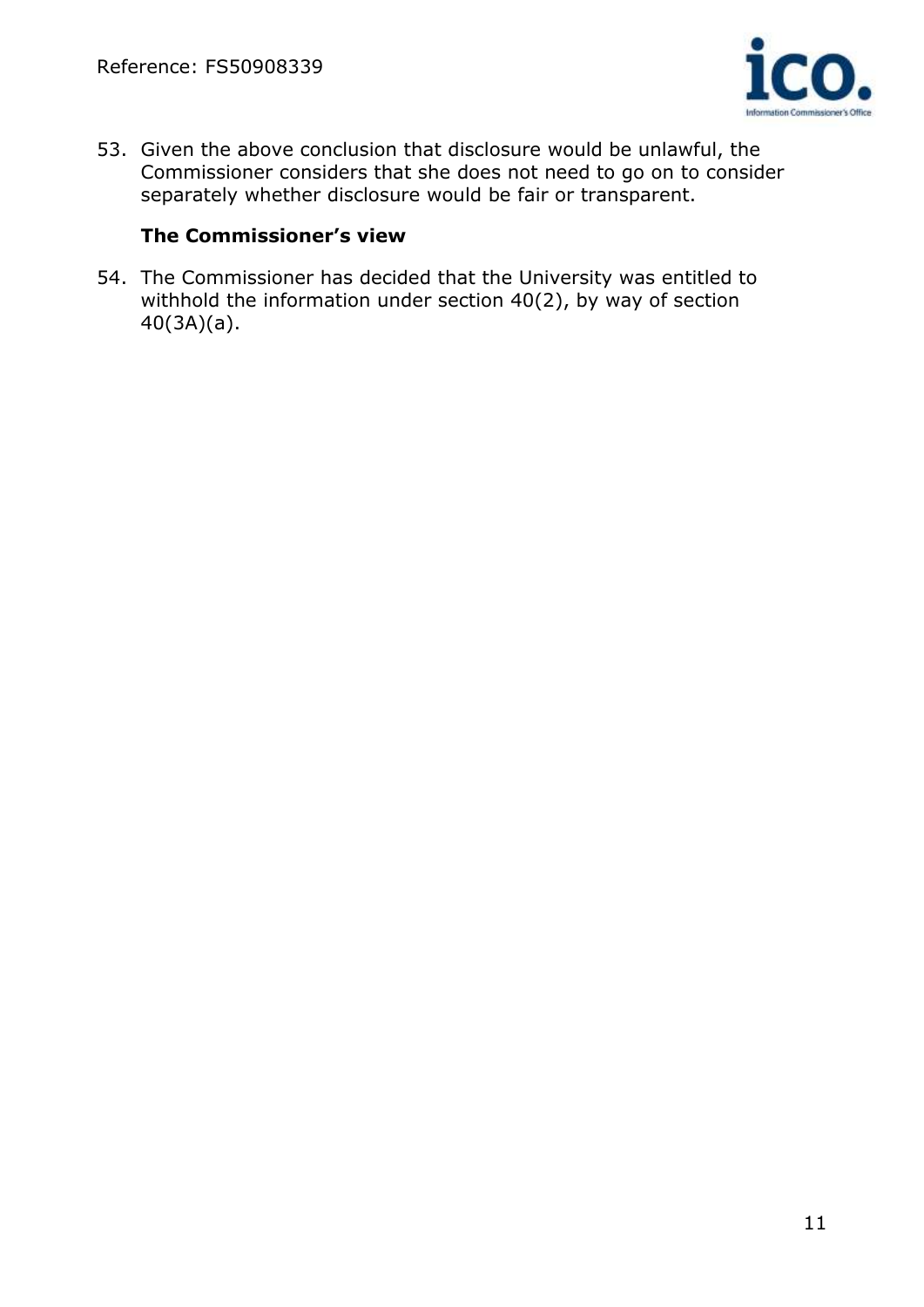

53. Given the above conclusion that disclosure would be unlawful, the Commissioner considers that she does not need to go on to consider separately whether disclosure would be fair or transparent.

# **The Commissioner's view**

54. The Commissioner has decided that the University was entitled to withhold the information under section 40(2), by way of section 40(3A)(a).